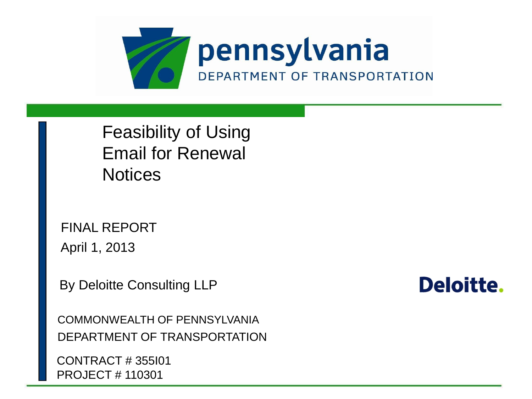

Feasibility of Using Email for Renewal **Notices** 

FINAL REPORT April 1, 2013

By Deloitte Consulting LLP

COMMONWEALTH OF PENNSYLVANIA DEPARTMENT OF TRANSPORTATION

CONTRACT # 355I01 PROJECT # 110301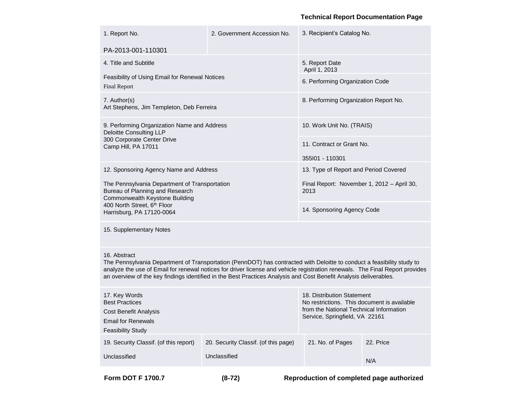#### **Technical Report Documentation Page**

| PA-2013-001-110301<br>4. Title and Subtitle<br>5. Report Date<br>April 1, 2013<br>Feasibility of Using Email for Renewal Notices<br>6. Performing Organization Code<br><b>Final Report</b><br>7. Author(s)<br>8. Performing Organization Report No.<br>Art Stephens, Jim Templeton, Deb Ferreira<br>9. Performing Organization Name and Address<br>10. Work Unit No. (TRAIS)<br><b>Deloitte Consulting LLP</b><br>300 Corporate Center Drive<br>11. Contract or Grant No.<br>Camp Hill, PA 17011<br>355101 - 110301<br>12. Sponsoring Agency Name and Address<br>13. Type of Report and Period Covered<br>The Pennsylvania Department of Transportation<br>Final Report: November 1, 2012 - April 30,<br>Bureau of Planning and Research<br>2013<br>Commonwealth Keystone Building<br>400 North Street, 6th Floor<br>14. Sponsoring Agency Code<br>Harrisburg, PA 17120-0064<br>15. Supplementary Notes<br>16. Abstract<br>The Pennsylvania Department of Transportation (PennDOT) has contracted with Deloitte to conduct a feasibility study to<br>analyze the use of Email for renewal notices for driver license and vehicle registration renewals. The Final Report provides<br>an overview of the key findings identified in the Best Practices Analysis and Cost Benefit Analysis deliverables.<br>17. Key Words<br>18. Distribution Statement<br><b>Best Practices</b><br>No restrictions. This document is available<br>from the National Technical Information<br><b>Cost Benefit Analysis</b><br>Service, Springfield, VA 22161<br><b>Email for Renewals</b><br><b>Feasibility Study</b><br>19. Security Classif. (of this report)<br>20. Security Classif. (of this page)<br>21. No. of Pages<br>22. Price<br>Unclassified<br>Unclassified<br>N/A | 1. Report No. | 2. Government Accession No. | 3. Recipient's Catalog No. |  |  |
|---------------------------------------------------------------------------------------------------------------------------------------------------------------------------------------------------------------------------------------------------------------------------------------------------------------------------------------------------------------------------------------------------------------------------------------------------------------------------------------------------------------------------------------------------------------------------------------------------------------------------------------------------------------------------------------------------------------------------------------------------------------------------------------------------------------------------------------------------------------------------------------------------------------------------------------------------------------------------------------------------------------------------------------------------------------------------------------------------------------------------------------------------------------------------------------------------------------------------------------------------------------------------------------------------------------------------------------------------------------------------------------------------------------------------------------------------------------------------------------------------------------------------------------------------------------------------------------------------------------------------------------------------------------------------------------------------------------------------------------------------------------|---------------|-----------------------------|----------------------------|--|--|
|                                                                                                                                                                                                                                                                                                                                                                                                                                                                                                                                                                                                                                                                                                                                                                                                                                                                                                                                                                                                                                                                                                                                                                                                                                                                                                                                                                                                                                                                                                                                                                                                                                                                                                                                                               |               |                             |                            |  |  |
|                                                                                                                                                                                                                                                                                                                                                                                                                                                                                                                                                                                                                                                                                                                                                                                                                                                                                                                                                                                                                                                                                                                                                                                                                                                                                                                                                                                                                                                                                                                                                                                                                                                                                                                                                               |               |                             |                            |  |  |
|                                                                                                                                                                                                                                                                                                                                                                                                                                                                                                                                                                                                                                                                                                                                                                                                                                                                                                                                                                                                                                                                                                                                                                                                                                                                                                                                                                                                                                                                                                                                                                                                                                                                                                                                                               |               |                             |                            |  |  |
|                                                                                                                                                                                                                                                                                                                                                                                                                                                                                                                                                                                                                                                                                                                                                                                                                                                                                                                                                                                                                                                                                                                                                                                                                                                                                                                                                                                                                                                                                                                                                                                                                                                                                                                                                               |               |                             |                            |  |  |
|                                                                                                                                                                                                                                                                                                                                                                                                                                                                                                                                                                                                                                                                                                                                                                                                                                                                                                                                                                                                                                                                                                                                                                                                                                                                                                                                                                                                                                                                                                                                                                                                                                                                                                                                                               |               |                             |                            |  |  |
|                                                                                                                                                                                                                                                                                                                                                                                                                                                                                                                                                                                                                                                                                                                                                                                                                                                                                                                                                                                                                                                                                                                                                                                                                                                                                                                                                                                                                                                                                                                                                                                                                                                                                                                                                               |               |                             |                            |  |  |
|                                                                                                                                                                                                                                                                                                                                                                                                                                                                                                                                                                                                                                                                                                                                                                                                                                                                                                                                                                                                                                                                                                                                                                                                                                                                                                                                                                                                                                                                                                                                                                                                                                                                                                                                                               |               |                             |                            |  |  |
|                                                                                                                                                                                                                                                                                                                                                                                                                                                                                                                                                                                                                                                                                                                                                                                                                                                                                                                                                                                                                                                                                                                                                                                                                                                                                                                                                                                                                                                                                                                                                                                                                                                                                                                                                               |               |                             |                            |  |  |
|                                                                                                                                                                                                                                                                                                                                                                                                                                                                                                                                                                                                                                                                                                                                                                                                                                                                                                                                                                                                                                                                                                                                                                                                                                                                                                                                                                                                                                                                                                                                                                                                                                                                                                                                                               |               |                             |                            |  |  |
|                                                                                                                                                                                                                                                                                                                                                                                                                                                                                                                                                                                                                                                                                                                                                                                                                                                                                                                                                                                                                                                                                                                                                                                                                                                                                                                                                                                                                                                                                                                                                                                                                                                                                                                                                               |               |                             |                            |  |  |
|                                                                                                                                                                                                                                                                                                                                                                                                                                                                                                                                                                                                                                                                                                                                                                                                                                                                                                                                                                                                                                                                                                                                                                                                                                                                                                                                                                                                                                                                                                                                                                                                                                                                                                                                                               |               |                             |                            |  |  |
|                                                                                                                                                                                                                                                                                                                                                                                                                                                                                                                                                                                                                                                                                                                                                                                                                                                                                                                                                                                                                                                                                                                                                                                                                                                                                                                                                                                                                                                                                                                                                                                                                                                                                                                                                               |               |                             |                            |  |  |
|                                                                                                                                                                                                                                                                                                                                                                                                                                                                                                                                                                                                                                                                                                                                                                                                                                                                                                                                                                                                                                                                                                                                                                                                                                                                                                                                                                                                                                                                                                                                                                                                                                                                                                                                                               |               |                             |                            |  |  |
|                                                                                                                                                                                                                                                                                                                                                                                                                                                                                                                                                                                                                                                                                                                                                                                                                                                                                                                                                                                                                                                                                                                                                                                                                                                                                                                                                                                                                                                                                                                                                                                                                                                                                                                                                               |               |                             |                            |  |  |
|                                                                                                                                                                                                                                                                                                                                                                                                                                                                                                                                                                                                                                                                                                                                                                                                                                                                                                                                                                                                                                                                                                                                                                                                                                                                                                                                                                                                                                                                                                                                                                                                                                                                                                                                                               |               |                             |                            |  |  |

**Form DOT F 1700.7 (8-72) Reproduction of completed page authorized**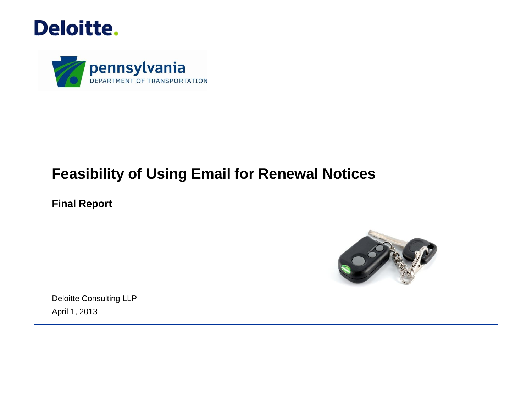



## **Feasibility of Using Email for Renewal Notices**

**Final Report**



Deloitte Consulting LLP April 1, 2013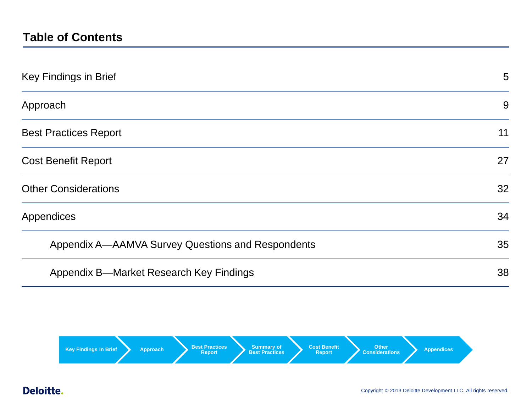## **Table of Contents**

| Key Findings in Brief                             | 5  |
|---------------------------------------------------|----|
| Approach                                          | 9  |
| <b>Best Practices Report</b>                      | 11 |
| <b>Cost Benefit Report</b>                        | 27 |
| <b>Other Considerations</b>                       | 32 |
| Appendices                                        | 34 |
| Appendix A—AAMVA Survey Questions and Respondents | 35 |
| Appendix B—Market Research Key Findings           | 38 |

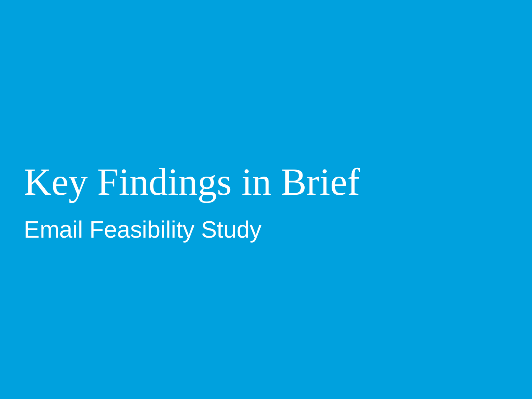Key Findings in Brief Email Feasibility Study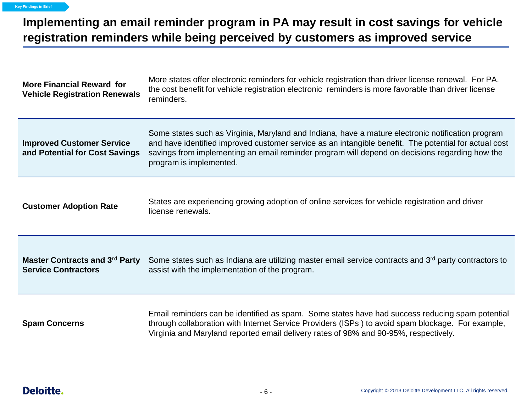## **Implementing an email reminder program in PA may result in cost savings for vehicle registration reminders while being perceived by customers as improved service**

| More states offer electronic reminders for vehicle registration than driver license renewal. For PA,<br><b>More Financial Reward for</b><br>the cost benefit for vehicle registration electronic reminders is more favorable than driver license<br><b>Vehicle Registration Renewals</b><br>reminders.                                                                                                        |                                                                                                                                                                                                                                                                                              |
|---------------------------------------------------------------------------------------------------------------------------------------------------------------------------------------------------------------------------------------------------------------------------------------------------------------------------------------------------------------------------------------------------------------|----------------------------------------------------------------------------------------------------------------------------------------------------------------------------------------------------------------------------------------------------------------------------------------------|
| Some states such as Virginia, Maryland and Indiana, have a mature electronic notification program<br><b>Improved Customer Service</b><br>and have identified improved customer service as an intangible benefit. The potential for actual cost<br>savings from implementing an email reminder program will depend on decisions regarding how the<br>and Potential for Cost Savings<br>program is implemented. |                                                                                                                                                                                                                                                                                              |
| States are experiencing growing adoption of online services for vehicle registration and driver<br><b>Customer Adoption Rate</b><br>license renewals.                                                                                                                                                                                                                                                         |                                                                                                                                                                                                                                                                                              |
| <b>Master Contracts and 3rd Party</b><br><b>Service Contractors</b>                                                                                                                                                                                                                                                                                                                                           | Some states such as Indiana are utilizing master email service contracts and 3rd party contractors to<br>assist with the implementation of the program.                                                                                                                                      |
| <b>Spam Concerns</b>                                                                                                                                                                                                                                                                                                                                                                                          | Email reminders can be identified as spam. Some states have had success reducing spam potential<br>through collaboration with Internet Service Providers (ISPs) to avoid spam blockage. For example,<br>Virginia and Maryland reported email delivery rates of 98% and 90-95%, respectively. |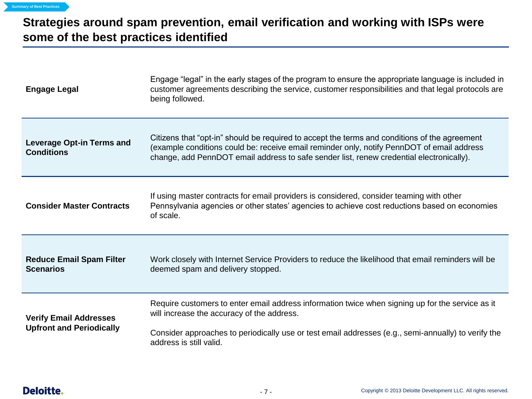## **Strategies around spam prevention, email verification and working with ISPs were some of the best practices identified**

| <b>Engage Legal</b>                                   | Engage "legal" in the early stages of the program to ensure the appropriate language is included in<br>customer agreements describing the service, customer responsibilities and that legal protocols are<br>being followed.                                                            |
|-------------------------------------------------------|-----------------------------------------------------------------------------------------------------------------------------------------------------------------------------------------------------------------------------------------------------------------------------------------|
| <b>Leverage Opt-in Terms and</b><br><b>Conditions</b> | Citizens that "opt-in" should be required to accept the terms and conditions of the agreement<br>(example conditions could be: receive email reminder only, notify PennDOT of email address<br>change, add PennDOT email address to safe sender list, renew credential electronically). |
| <b>Consider Master Contracts</b>                      | If using master contracts for email providers is considered, consider teaming with other<br>Pennsylvania agencies or other states' agencies to achieve cost reductions based on economies<br>of scale.                                                                                  |
| <b>Reduce Email Spam Filter</b><br><b>Scenarios</b>   | Work closely with Internet Service Providers to reduce the likelihood that email reminders will be<br>deemed spam and delivery stopped.                                                                                                                                                 |
| <b>Verify Email Addresses</b>                         | Require customers to enter email address information twice when signing up for the service as it<br>will increase the accuracy of the address.                                                                                                                                          |
| <b>Upfront and Periodically</b>                       | Consider approaches to periodically use or test email addresses (e.g., semi-annually) to verify the<br>address is still valid.                                                                                                                                                          |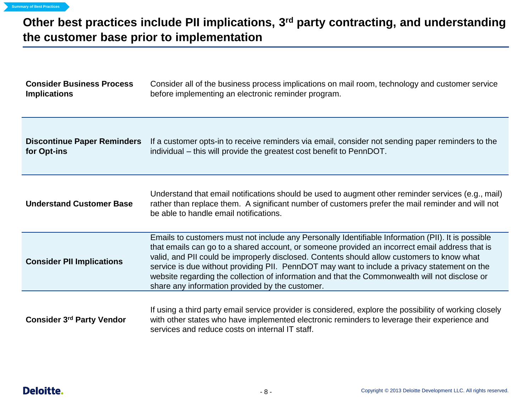## **Other best practices include PII implications, 3rd party contracting, and understanding the customer base prior to implementation**

| <b>Consider Business Process</b><br><b>Implications</b> | Consider all of the business process implications on mail room, technology and customer service<br>before implementing an electronic reminder program.                                                                                                                                                                                                                                                                                                                                                                                                  |
|---------------------------------------------------------|---------------------------------------------------------------------------------------------------------------------------------------------------------------------------------------------------------------------------------------------------------------------------------------------------------------------------------------------------------------------------------------------------------------------------------------------------------------------------------------------------------------------------------------------------------|
| <b>Discontinue Paper Reminders</b><br>for Opt-ins       | If a customer opts-in to receive reminders via email, consider not sending paper reminders to the<br>individual – this will provide the greatest cost benefit to PennDOT.                                                                                                                                                                                                                                                                                                                                                                               |
| <b>Understand Customer Base</b>                         | Understand that email notifications should be used to augment other reminder services (e.g., mail)<br>rather than replace them. A significant number of customers prefer the mail reminder and will not<br>be able to handle email notifications.                                                                                                                                                                                                                                                                                                       |
| <b>Consider PII Implications</b>                        | Emails to customers must not include any Personally Identifiable Information (PII). It is possible<br>that emails can go to a shared account, or someone provided an incorrect email address that is<br>valid, and PII could be improperly disclosed. Contents should allow customers to know what<br>service is due without providing PII. PennDOT may want to include a privacy statement on the<br>website regarding the collection of information and that the Commonwealth will not disclose or<br>share any information provided by the customer. |
| <b>Consider 3rd Party Vendor</b>                        | If using a third party email service provider is considered, explore the possibility of working closely<br>with other states who have implemented electronic reminders to leverage their experience and<br>services and reduce costs on internal IT staff.                                                                                                                                                                                                                                                                                              |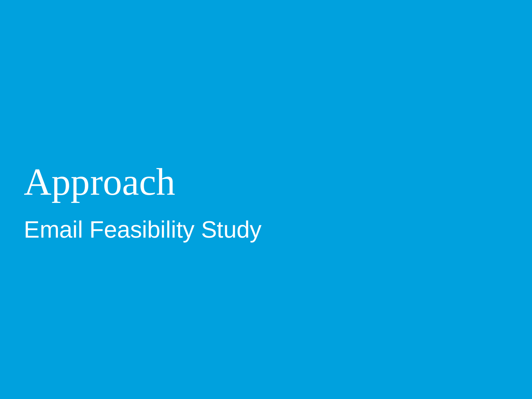# Approach Email Feasibility Study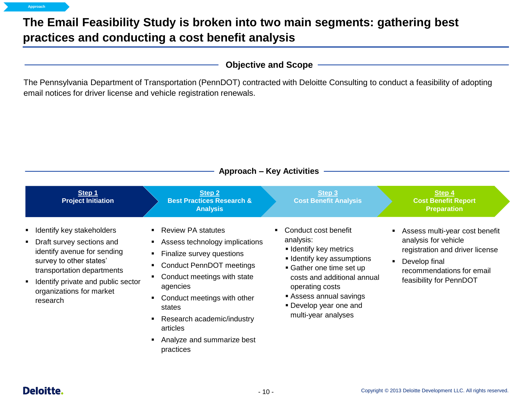## **The Email Feasibility Study is broken into two main segments: gathering best practices and conducting a cost benefit analysis**

email notices for driver license and vehicle registration renewals.

The Pennsylvania Department of Transportation (PennDOT) contracted with Deloitte Consulting to conduct a feasibility of adopting

**Objective and Scope**

|                                                                                                                                                                                                                              |                                                                                                                                                                                                                                                                                                      | <b>Approach - Key Activities</b>                                                                                                                                                                                                    |                             |                                                                                                                                                                    |
|------------------------------------------------------------------------------------------------------------------------------------------------------------------------------------------------------------------------------|------------------------------------------------------------------------------------------------------------------------------------------------------------------------------------------------------------------------------------------------------------------------------------------------------|-------------------------------------------------------------------------------------------------------------------------------------------------------------------------------------------------------------------------------------|-----------------------------|--------------------------------------------------------------------------------------------------------------------------------------------------------------------|
| Step 1<br><b>Project Initiation</b>                                                                                                                                                                                          | <b>Step 2</b><br><b>Best Practices Research &amp;</b><br><b>Analysis</b>                                                                                                                                                                                                                             | Step 3<br><b>Cost Benefit Analysis</b>                                                                                                                                                                                              |                             | Step 4<br><b>Cost Benefit Report</b><br><b>Preparation</b>                                                                                                         |
| Identify key stakeholders<br>Draft survey sections and<br>identify avenue for sending<br>survey to other states'<br>transportation departments<br>Identify private and public sector<br>organizations for market<br>research | <b>Review PA statutes</b><br>Assess technology implications<br>Finalize survey questions<br><b>Conduct PennDOT meetings</b><br>Conduct meetings with state<br>agencies<br>Conduct meetings with other<br>states<br>Research academic/industry<br>articles<br>Analyze and summarize best<br>practices | Conduct cost benefit<br>٠<br>analysis:<br><b>Identify key metrics</b><br><b>-</b> Identify key assumptions<br>• Gather one time set up<br>operating costs<br>Assess annual savings<br>• Develop year one and<br>multi-year analyses | costs and additional annual | Assess multi-year cost benefit<br>analysis for vehicle<br>registration and driver license<br>Develop final<br>recommendations for email<br>feasibility for PennDOT |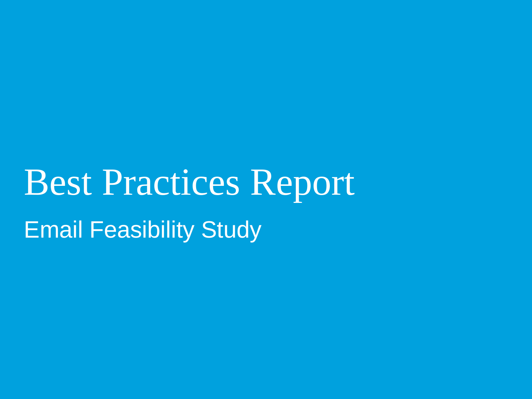Best Practices Report Email Feasibility Study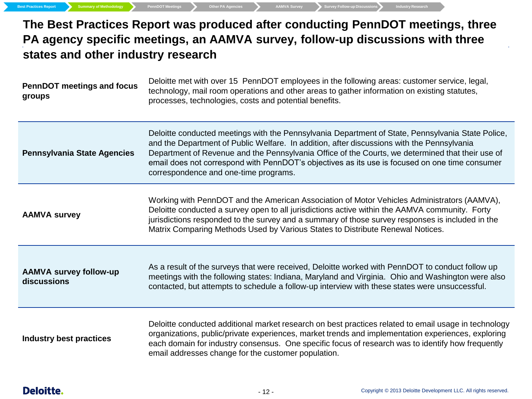**The Best Practices Report was produced after conducting PennDOT meetings, three PA agency specific meetings, an AAMVA survey, follow-up discussions with three states and other industry research**

| <b>PennDOT</b> meetings and focus<br>groups  | Deloitte met with over 15 PennDOT employees in the following areas: customer service, legal,<br>technology, mail room operations and other areas to gather information on existing statutes,<br>processes, technologies, costs and potential benefits.                                                                                                                                                                                         |
|----------------------------------------------|------------------------------------------------------------------------------------------------------------------------------------------------------------------------------------------------------------------------------------------------------------------------------------------------------------------------------------------------------------------------------------------------------------------------------------------------|
| <b>Pennsylvania State Agencies</b>           | Deloitte conducted meetings with the Pennsylvania Department of State, Pennsylvania State Police,<br>and the Department of Public Welfare. In addition, after discussions with the Pennsylvania<br>Department of Revenue and the Pennsylvania Office of the Courts, we determined that their use of<br>email does not correspond with PennDOT's objectives as its use is focused on one time consumer<br>correspondence and one-time programs. |
| <b>AAMVA survey</b>                          | Working with PennDOT and the American Association of Motor Vehicles Administrators (AAMVA),<br>Deloitte conducted a survey open to all jurisdictions active within the AAMVA community. Forty<br>jurisdictions responded to the survey and a summary of those survey responses is included in the<br>Matrix Comparing Methods Used by Various States to Distribute Renewal Notices.                                                            |
| <b>AAMVA survey follow-up</b><br>discussions | As a result of the surveys that were received, Deloitte worked with PennDOT to conduct follow up<br>meetings with the following states: Indiana, Maryland and Virginia. Ohio and Washington were also<br>contacted, but attempts to schedule a follow-up interview with these states were unsuccessful.                                                                                                                                        |
| <b>Industry best practices</b>               | Deloitte conducted additional market research on best practices related to email usage in technology<br>organizations, public/private experiences, market trends and implementation experiences, exploring<br>each domain for industry consensus. One specific focus of research was to identify how frequently<br>email addresses change for the customer population.                                                                         |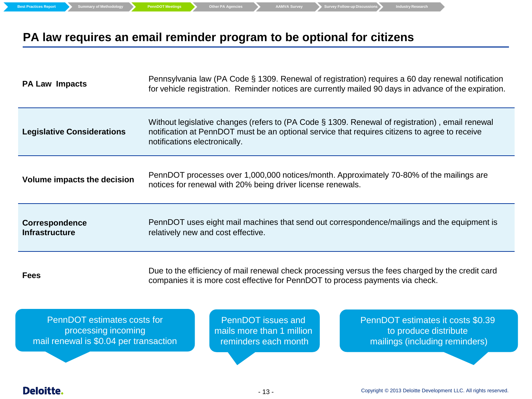**Best Practices Report Summary of Methodology PennDOT Meetings Cher PA Agencies AAMVA Survey Survey Follow-up Discussions** Industry Research

## **PA law requires an email reminder program to be optional for citizens**

| <b>PA Law Impacts</b>                   | Pennsylvania law (PA Code § 1309. Renewal of registration) requires a 60 day renewal notification<br>for vehicle registration. Reminder notices are currently mailed 90 days in advance of the expiration.                         |
|-----------------------------------------|------------------------------------------------------------------------------------------------------------------------------------------------------------------------------------------------------------------------------------|
| <b>Legislative Considerations</b>       | Without legislative changes (refers to (PA Code § 1309. Renewal of registration), email renewal<br>notification at PennDOT must be an optional service that requires citizens to agree to receive<br>notifications electronically. |
| Volume impacts the decision             | PennDOT processes over 1,000,000 notices/month. Approximately 70-80% of the mailings are<br>notices for renewal with 20% being driver license renewals.                                                                            |
| Correspondence<br><b>Infrastructure</b> | PennDOT uses eight mail machines that send out correspondence/mailings and the equipment is<br>relatively new and cost effective.                                                                                                  |
| <b>Fees</b>                             | Due to the efficiency of mail renewal check processing versus the fees charged by the credit card<br>companies it is more cost effective for PennDOT to process payments via check.                                                |

PennDOT estimates costs for processing incoming mail renewal is \$0.04 per transaction

PennDOT issues and mails more than 1 million reminders each month

PennDOT estimates it costs \$0.39 to produce distribute mailings (including reminders)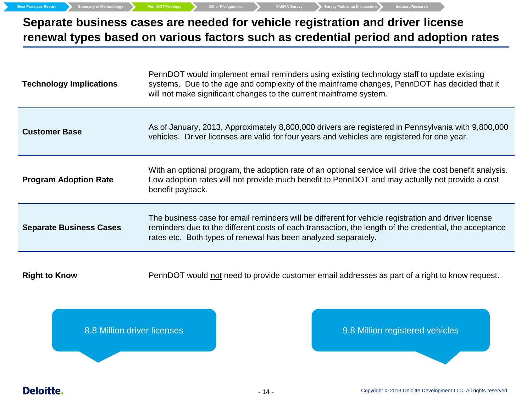**Best Practices Report Summary of Methodology PennDOT Meetings** Other PA Agencies AAMVA Survey Survey Follow-up Discussions Industry Research

## **Separate business cases are needed for vehicle registration and driver license renewal types based on various factors such as credential period and adoption rates**

| <b>Technology Implications</b> | PennDOT would implement email reminders using existing technology staff to update existing<br>systems. Due to the age and complexity of the mainframe changes, PennDOT has decided that it<br>will not make significant changes to the current mainframe system.                |  |  |
|--------------------------------|---------------------------------------------------------------------------------------------------------------------------------------------------------------------------------------------------------------------------------------------------------------------------------|--|--|
| <b>Customer Base</b>           | As of January, 2013, Approximately 8,800,000 drivers are registered in Pennsylvania with 9,800,000<br>vehicles. Driver licenses are valid for four years and vehicles are registered for one year.                                                                              |  |  |
| <b>Program Adoption Rate</b>   | With an optional program, the adoption rate of an optional service will drive the cost benefit analysis.<br>Low adoption rates will not provide much benefit to PennDOT and may actually not provide a cost<br>benefit payback.                                                 |  |  |
| <b>Separate Business Cases</b> | The business case for email reminders will be different for vehicle registration and driver license<br>reminders due to the different costs of each transaction, the length of the credential, the acceptance<br>rates etc. Both types of renewal has been analyzed separately. |  |  |

**Right to Know** PennDOT would not need to provide customer email addresses as part of a right to know request.

8.8 Million driver licenses and the state of the state of the state of the state of the state of the state of the state of the state of the state of the state of the state of the state of the state of the state of the stat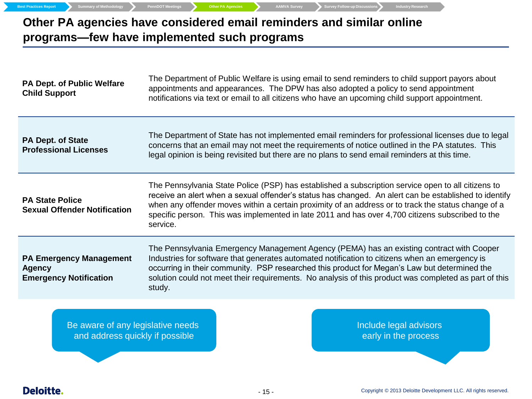**Other PA agencies have considered email reminders and similar online programs—few have implemented such programs**

**Best Practices Report Summary of Methodology PennDOT Meetings Other PA Agencies AAMVA Survey** Survey **Conserversions** Industry Research

| <b>PA Dept. of Public Welfare</b><br><b>Child Support</b>                        | The Department of Public Welfare is using email to send reminders to child support payors about<br>appointments and appearances. The DPW has also adopted a policy to send appointment<br>notifications via text or email to all citizens who have an upcoming child support appointment.                                                                                                                                          |
|----------------------------------------------------------------------------------|------------------------------------------------------------------------------------------------------------------------------------------------------------------------------------------------------------------------------------------------------------------------------------------------------------------------------------------------------------------------------------------------------------------------------------|
| <b>PA Dept. of State</b><br><b>Professional Licenses</b>                         | The Department of State has not implemented email reminders for professional licenses due to legal<br>concerns that an email may not meet the requirements of notice outlined in the PA statutes. This<br>legal opinion is being revisited but there are no plans to send email reminders at this time.                                                                                                                            |
| <b>PA State Police</b><br><b>Sexual Offender Notification</b>                    | The Pennsylvania State Police (PSP) has established a subscription service open to all citizens to<br>receive an alert when a sexual offender's status has changed. An alert can be established to identify<br>when any offender moves within a certain proximity of an address or to track the status change of a<br>specific person. This was implemented in late 2011 and has over 4,700 citizens subscribed to the<br>service. |
| <b>PA Emergency Management</b><br><b>Agency</b><br><b>Emergency Notification</b> | The Pennsylvania Emergency Management Agency (PEMA) has an existing contract with Cooper<br>Industries for software that generates automated notification to citizens when an emergency is<br>occurring in their community. PSP researched this product for Megan's Law but determined the<br>solution could not meet their requirements. No analysis of this product was completed as part of this<br>study.                      |

Be aware of any legislative needs and address quickly if possible

Include legal advisors early in the process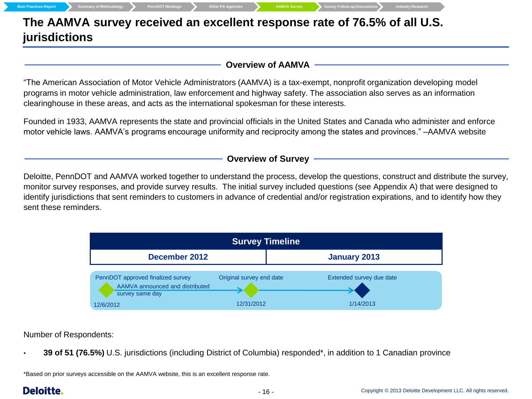|  | <b>Best Practices Report</b> |  |
|--|------------------------------|--|

**The AAMVA survey received an excellent response rate of 76.5% of all U.S. jurisdictions**

#### **Overview of AAMVA**

"The American Association of Motor Vehicle Administrators (AAMVA) is a tax-exempt, nonprofit organization developing model programs in motor vehicle administration, law enforcement and highway safety. The association also serves as an information clearinghouse in these areas, and acts as the international spokesman for these interests.

Founded in 1933, AAMVA represents the state and provincial officials in the United States and Canada who administer and enforce motor vehicle laws. AAMVA's programs encourage uniformity and reciprocity among the states and provinces." –AAMVA website

#### **Overview of Survey**

Deloitte, PennDOT and AAMVA worked together to understand the process, develop the questions, construct and distribute the survey, monitor survey responses, and provide survey results. The initial survey included questions (see Appendix A) that were designed to identify jurisdictions that sent reminders to customers in advance of credential and/or registration expirations, and to identify how they sent these reminders.

| <b>Survey Timeline</b>                                                                  |                          |                          |  |  |
|-----------------------------------------------------------------------------------------|--------------------------|--------------------------|--|--|
| December 2012                                                                           |                          | <b>January 2013</b>      |  |  |
| PennDOT approved finalized survey<br>AAMVA announced and distributed<br>survey same day | Original survey end date | Extended survey due date |  |  |
| 12/6/2012                                                                               | 12/31/2012               | 1/14/2013                |  |  |

Number of Respondents:

• **39 of 51 (76.5%)** U.S. jurisdictions (including District of Columbia) responded\*, in addition to 1 Canadian province

\*Based on prior surveys accessible on the AAMVA website, this is an excellent response rate.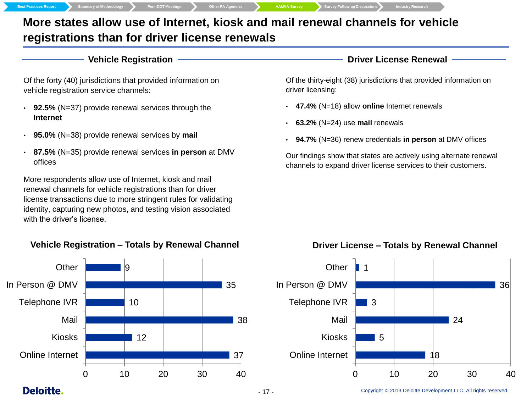**Best Practices Report Summary of Methodology PennDOT Meetings Other PA Agencies AAMVA Survey Survey Follow-up Discussions Industry Research**

## **More states allow use of Internet, kiosk and mail renewal channels for vehicle registrations than for driver license renewals**

#### **Vehicle Registration**

Of the forty (40) jurisdictions that provided information on vehicle registration service channels:

- **92.5%** (N=37) provide renewal services through the **Internet**
- **95.0%** (N=38) provide renewal services by **mail**
- **87.5%** (N=35) provide renewal services **in person** at DMV offices

More respondents allow use of Internet, kiosk and mail renewal channels for vehicle registrations than for driver license transactions due to more stringent rules for validating identity, capturing new photos, and testing vision associated with the driver's license.

### **Vehicle Registration – Totals by Renewal Channel**



#### **Driver License Renewal**

Of the thirty-eight (38) jurisdictions that provided information on driver licensing:

- **47.4%** (N=18) allow **online** Internet renewals
- **63.2%** (N=24) use **mail** renewals
- **94.7%** (N=36) renew credentials **in person** at DMV offices

Our findings show that states are actively using alternate renewal channels to expand driver license services to their customers.

#### **Driver License – Totals by Renewal Channel**

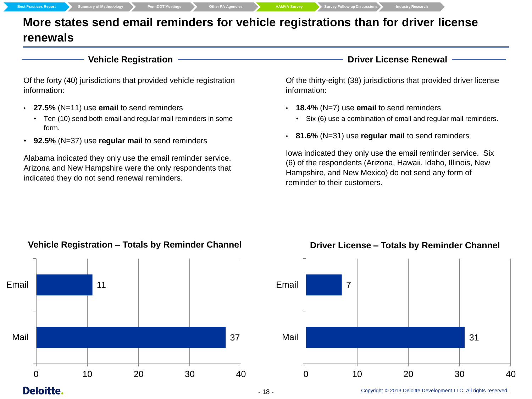**Best Practices Report Summary of Methodology PennDOT** Meetings **Cher PA Agencies AAMVA Survey** Survey Follow-up Discussions Industry Research

## **More states send email reminders for vehicle registrations than for driver license renewals**

#### **Vehicle Registration**

Of the forty (40) jurisdictions that provided vehicle registration information:

- **27.5%** (N=11) use **email** to send reminders
	- Ten (10) send both email and regular mail reminders in some form.
- **92.5%** (N=37) use **regular mail** to send reminders

Alabama indicated they only use the email reminder service. Arizona and New Hampshire were the only respondents that indicated they do not send renewal reminders.

**Driver License Renewal**

Of the thirty-eight (38) jurisdictions that provided driver license information:

- **18.4%** (N=7) use **email** to send reminders
	- Six (6) use a combination of email and regular mail reminders.
- **81.6%** (N=31) use **regular mail** to send reminders

Iowa indicated they only use the email reminder service. Six (6) of the respondents (Arizona, Hawaii, Idaho, Illinois, New Hampshire, and New Mexico) do not send any form of reminder to their customers.



#### **Vehicle Registration – Totals by Reminder Channel**

## **Driver License – Totals by Reminder Channel**



## **Deloitte.**

#### - 18 - Copyright © 2013 Deloitte Development LLC. All rights reserved.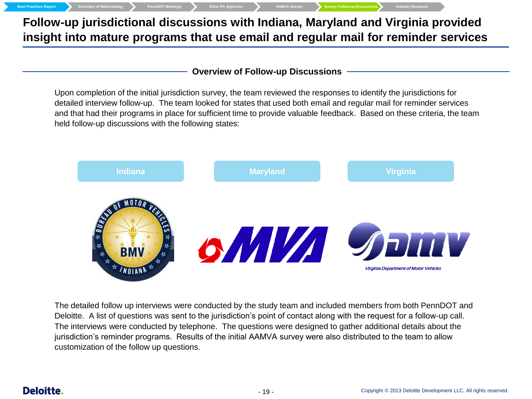**Follow-up jurisdictional discussions with Indiana, Maryland and Virginia provided insight into mature programs that use email and regular mail for reminder services**

**Best Practices Report Summary of Methodology PennDOT Meetings Cther PA Agencies AMVA Survey Survey Follow-up Discussions** 

**Overview of Follow-up Discussions**

Upon completion of the initial jurisdiction survey, the team reviewed the responses to identify the jurisdictions for detailed interview follow-up. The team looked for states that used both email and regular mail for reminder services and that had their programs in place for sufficient time to provide valuable feedback. Based on these criteria, the team held follow-up discussions with the following states:



The detailed follow up interviews were conducted by the study team and included members from both PennDOT and Deloitte. A list of questions was sent to the jurisdiction's point of contact along with the request for a follow-up call. The interviews were conducted by telephone. The questions were designed to gather additional details about the jurisdiction's reminder programs. Results of the initial AAMVA survey were also distributed to the team to allow customization of the follow up questions.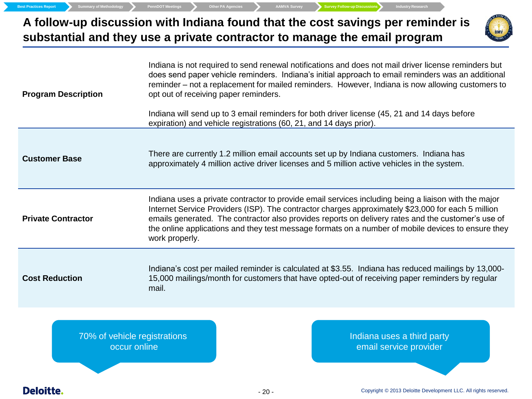**Best Practices Report Summary of Methodology PennDOT Meetings** Other PA Agencies AMVA Survey Survey Follow-up Discussions Industry Research

occur online



| <b>Program Description</b>   | Indiana is not required to send renewal notifications and does not mail driver license reminders but<br>does send paper vehicle reminders. Indiana's initial approach to email reminders was an additional<br>reminder – not a replacement for mailed reminders. However, Indiana is now allowing customers to<br>opt out of receiving paper reminders.<br>Indiana will send up to 3 email reminders for both driver license (45, 21 and 14 days before<br>expiration) and vehicle registrations (60, 21, and 14 days prior). |  |  |  |  |
|------------------------------|-------------------------------------------------------------------------------------------------------------------------------------------------------------------------------------------------------------------------------------------------------------------------------------------------------------------------------------------------------------------------------------------------------------------------------------------------------------------------------------------------------------------------------|--|--|--|--|
| <b>Customer Base</b>         | There are currently 1.2 million email accounts set up by Indiana customers. Indiana has<br>approximately 4 million active driver licenses and 5 million active vehicles in the system.                                                                                                                                                                                                                                                                                                                                        |  |  |  |  |
| <b>Private Contractor</b>    | Indiana uses a private contractor to provide email services including being a liaison with the major<br>Internet Service Providers (ISP). The contractor charges approximately \$23,000 for each 5 million<br>emails generated. The contractor also provides reports on delivery rates and the customer's use of<br>the online applications and they test message formats on a number of mobile devices to ensure they<br>work properly.                                                                                      |  |  |  |  |
| <b>Cost Reduction</b>        | Indiana's cost per mailed reminder is calculated at \$3.55. Indiana has reduced mailings by 13,000-<br>15,000 mailings/month for customers that have opted-out of receiving paper reminders by regular<br>mail.                                                                                                                                                                                                                                                                                                               |  |  |  |  |
| 70% of vehicle registrations | Indiana uses a third party                                                                                                                                                                                                                                                                                                                                                                                                                                                                                                    |  |  |  |  |

Indiana uses a third party email service provider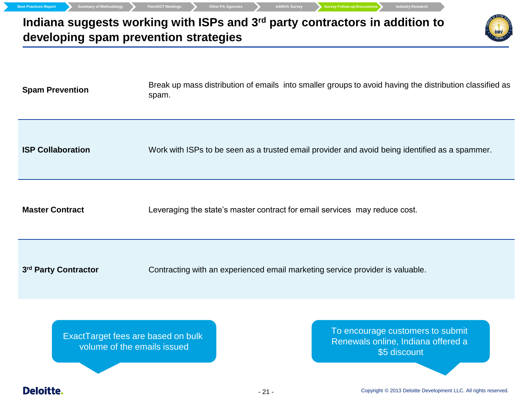

**Master Contract** Leveraging the state's master contract for email services may reduce cost.

3<sup>rd</sup> Party Contractor

Contracting with an experienced email marketing service provider is valuable.

ExactTarget fees are based on bulk volume of the emails issued

To encourage customers to submit Renewals online, Indiana offered a \$5 discount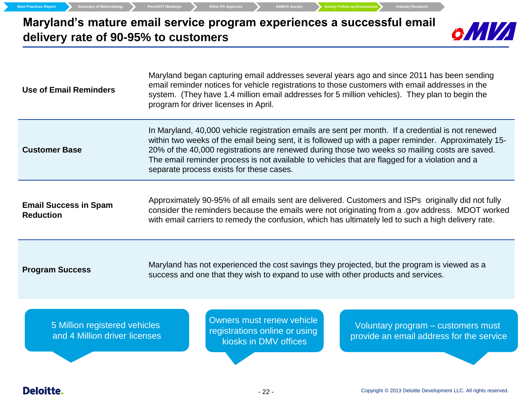**Maryland's mature email service program experiences a successful email delivery rate of 90-95% to customers**

**Best Practices Report Summary of Methodology PennDOT Meetings Cher PA Agencies AAMVA Survey Survey Follow-up Discussions** Industry Research



| <b>Use of Email Reminders</b>                                  | Maryland began capturing email addresses several years ago and since 2011 has been sending<br>email reminder notices for vehicle registrations to those customers with email addresses in the<br>system. (They have 1.4 million email addresses for 5 million vehicles). They plan to begin the<br>program for driver licenses in April.                                                                                                                                                                                                                                                                                                                                                                                                                                   |  |  |  |
|----------------------------------------------------------------|----------------------------------------------------------------------------------------------------------------------------------------------------------------------------------------------------------------------------------------------------------------------------------------------------------------------------------------------------------------------------------------------------------------------------------------------------------------------------------------------------------------------------------------------------------------------------------------------------------------------------------------------------------------------------------------------------------------------------------------------------------------------------|--|--|--|
| <b>Customer Base</b>                                           | In Maryland, 40,000 vehicle registration emails are sent per month. If a credential is not renewed<br>within two weeks of the email being sent, it is followed up with a paper reminder. Approximately 15-<br>20% of the 40,000 registrations are renewed during those two weeks so mailing costs are saved.<br>The email reminder process is not available to vehicles that are flagged for a violation and a<br>separate process exists for these cases.<br>Approximately 90-95% of all emails sent are delivered. Customers and ISPs originally did not fully<br>consider the reminders because the emails were not originating from a .gov address. MDOT worked<br>with email carriers to remedy the confusion, which has ultimately led to such a high delivery rate. |  |  |  |
| <b>Email Success in Spam</b><br><b>Reduction</b>               |                                                                                                                                                                                                                                                                                                                                                                                                                                                                                                                                                                                                                                                                                                                                                                            |  |  |  |
| <b>Program Success</b>                                         | Maryland has not experienced the cost savings they projected, but the program is viewed as a<br>success and one that they wish to expand to use with other products and services.                                                                                                                                                                                                                                                                                                                                                                                                                                                                                                                                                                                          |  |  |  |
|                                                                |                                                                                                                                                                                                                                                                                                                                                                                                                                                                                                                                                                                                                                                                                                                                                                            |  |  |  |
| 5 Million registered vehicles<br>and 4 Million driver licenses | Owners must renew vehicle<br>Voluntary program - customers must<br>registrations online or using<br>provide an email address for the service<br>kiosks in DMV offices                                                                                                                                                                                                                                                                                                                                                                                                                                                                                                                                                                                                      |  |  |  |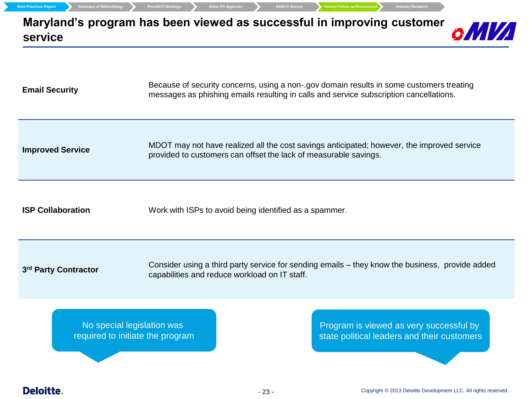| <b>Email Security</b>    | Because of security concerns, using a non-.gov domain results in some customers treating<br>messages as phishing emails resulting in calls and service subscription cancellations. |
|--------------------------|------------------------------------------------------------------------------------------------------------------------------------------------------------------------------------|
| <b>Improved Service</b>  | MDOT may not have realized all the cost savings anticipated; however, the improved service<br>provided to customers can offset the lack of measurable savings.                     |
| <b>ISP Collaboration</b> | Work with ISPs to avoid being identified as a spammer.                                                                                                                             |
| 3rd Party Contractor     | Consider using a third party service for sending emails - they know the business, provide added<br>capabilities and reduce workload on IT staff.                                   |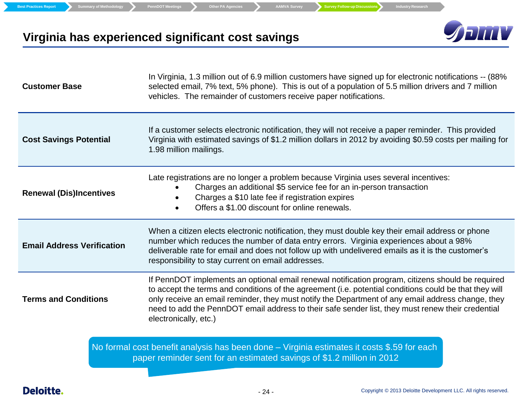**Best Practices Report Summary of Methodology PennDOT Meetings Cher PA Agencies AAMVA Survey Survey Follow-up Discussions** Industry Research



## **Virginia has experienced significant cost savings**

| <b>Customer Base</b>                                                                                                                                                | In Virginia, 1.3 million out of 6.9 million customers have signed up for electronic notifications -- (88%<br>selected email, 7% text, 5% phone). This is out of a population of 5.5 million drivers and 7 million<br>vehicles. The remainder of customers receive paper notifications.                                                                                                                                                         |  |  |  |  |
|---------------------------------------------------------------------------------------------------------------------------------------------------------------------|------------------------------------------------------------------------------------------------------------------------------------------------------------------------------------------------------------------------------------------------------------------------------------------------------------------------------------------------------------------------------------------------------------------------------------------------|--|--|--|--|
| <b>Cost Savings Potential</b>                                                                                                                                       | If a customer selects electronic notification, they will not receive a paper reminder. This provided<br>Virginia with estimated savings of \$1.2 million dollars in 2012 by avoiding \$0.59 costs per mailing for<br>1.98 million mailings.                                                                                                                                                                                                    |  |  |  |  |
| <b>Renewal (Dis)Incentives</b>                                                                                                                                      | Late registrations are no longer a problem because Virginia uses several incentives:<br>Charges an additional \$5 service fee for an in-person transaction<br>Charges a \$10 late fee if registration expires<br>Offers a \$1,00 discount for online renewals.                                                                                                                                                                                 |  |  |  |  |
| <b>Email Address Verification</b>                                                                                                                                   | When a citizen elects electronic notification, they must double key their email address or phone<br>number which reduces the number of data entry errors. Virginia experiences about a 98%<br>deliverable rate for email and does not follow up with undelivered emails as it is the customer's<br>responsibility to stay current on email addresses.                                                                                          |  |  |  |  |
| <b>Terms and Conditions</b>                                                                                                                                         | If PennDOT implements an optional email renewal notification program, citizens should be required<br>to accept the terms and conditions of the agreement (i.e. potential conditions could be that they will<br>only receive an email reminder, they must notify the Department of any email address change, they<br>need to add the PennDOT email address to their safe sender list, they must renew their credential<br>electronically, etc.) |  |  |  |  |
| No formal cost benefit analysis has been done - Virginia estimates it costs \$.59 for each<br>paper reminder sent for an estimated savings of \$1.2 million in 2012 |                                                                                                                                                                                                                                                                                                                                                                                                                                                |  |  |  |  |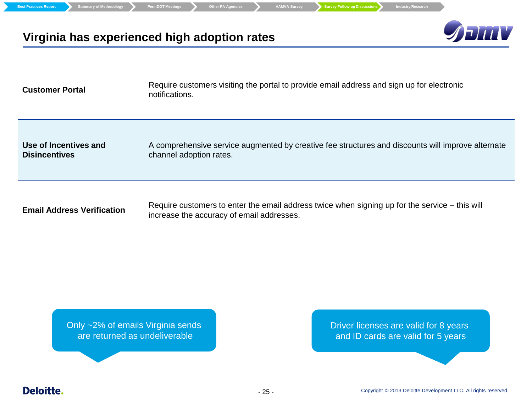| <b>Summary of Methodology</b><br><b>Best Practices Report</b> | <b>Survey Follow-up Discussions</b><br><b>PennDOT Meetings</b><br><b>Other PA Agencies</b><br><b>AAMVA Survey</b><br><b>Industry Research</b> |
|---------------------------------------------------------------|-----------------------------------------------------------------------------------------------------------------------------------------------|
|                                                               | <b>Shiny</b><br>Virginia has experienced high adoption rates                                                                                  |
| <b>Customer Portal</b>                                        | Require customers visiting the portal to provide email address and sign up for electronic<br>notifications.                                   |
| Use of Incentives and<br><b>Disincentives</b>                 | A comprehensive service augmented by creative fee structures and discounts will improve alternate<br>channel adoption rates.                  |
| <b>Email Address Verification</b>                             | Require customers to enter the email address twice when signing up for the service – this will<br>increase the accuracy of email addresses.   |

Only ~2% of emails Virginia sends are returned as undeliverable

Driver licenses are valid for 8 years and ID cards are valid for 5 years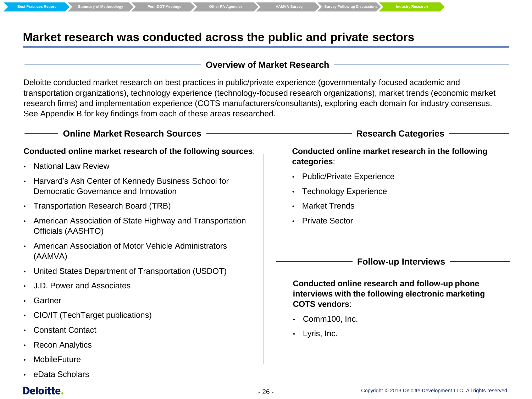## **Market research was conducted across the public and private sectors**

#### **Overview of Market Research**

Deloitte conducted market research on best practices in public/private experience (governmentally-focused academic and transportation organizations), technology experience (technology-focused research organizations), market trends (economic market research firms) and implementation experience (COTS manufacturers/consultants), exploring each domain for industry consensus. See Appendix B for key findings from each of these areas researched.

#### **Online Market Research Sources**

#### **Conducted online market research of the following sources**:

- National Law Review
- Harvard's Ash Center of Kennedy Business School for Democratic Governance and Innovation
- Transportation Research Board (TRB)
- American Association of State Highway and Transportation Officials (AASHTO)
- American Association of Motor Vehicle Administrators (AAMVA)
- United States Department of Transportation (USDOT)
- J.D. Power and Associates
- **Gartner**
- CIO/IT (TechTarget publications)
- Constant Contact
- Recon Analytics
- **MobileFuture**
- eData Scholars

## **Deloitte.**

#### **Research Categories**

#### **Conducted online market research in the following categories**:

- Public/Private Experience
- **Technology Experience**
- Market Trends
- Private Sector

#### **Follow-up Interviews**

**Conducted online research and follow-up phone interviews with the following electronic marketing COTS vendors**:

- Comm100, Inc.
- Lyris, Inc.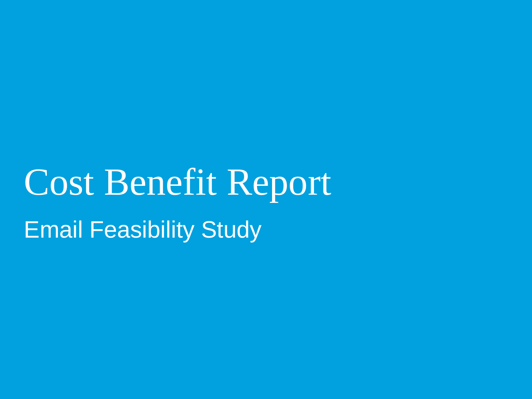## Cost Benefit Report Email Feasibility Study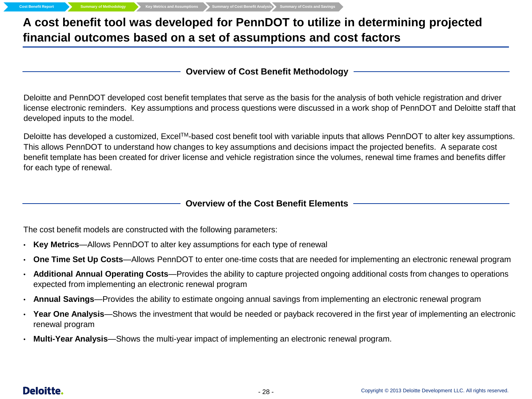## **A cost benefit tool was developed for PennDOT to utilize in determining projected financial outcomes based on a set of assumptions and cost factors**

#### **Overview of Cost Benefit Methodology**

Deloitte and PennDOT developed cost benefit templates that serve as the basis for the analysis of both vehicle registration and driver license electronic reminders. Key assumptions and process questions were discussed in a work shop of PennDOT and Deloitte staff that developed inputs to the model.

Deloitte has developed a customized, Excel<sup>TM</sup>-based cost benefit tool with variable inputs that allows PennDOT to alter key assumptions. This allows PennDOT to understand how changes to key assumptions and decisions impact the projected benefits. A separate cost benefit template has been created for driver license and vehicle registration since the volumes, renewal time frames and benefits differ for each type of renewal.

#### **Overview of the Cost Benefit Elements**

The cost benefit models are constructed with the following parameters:

- **Key Metrics**—Allows PennDOT to alter key assumptions for each type of renewal
- **One Time Set Up Costs**—Allows PennDOT to enter one-time costs that are needed for implementing an electronic renewal program
- **Additional Annual Operating Costs**—Provides the ability to capture projected ongoing additional costs from changes to operations expected from implementing an electronic renewal program
- **Annual Savings**—Provides the ability to estimate ongoing annual savings from implementing an electronic renewal program
- **Year One Analysis**—Shows the investment that would be needed or payback recovered in the first year of implementing an electronic renewal program
- **Multi-Year Analysis**—Shows the multi-year impact of implementing an electronic renewal program.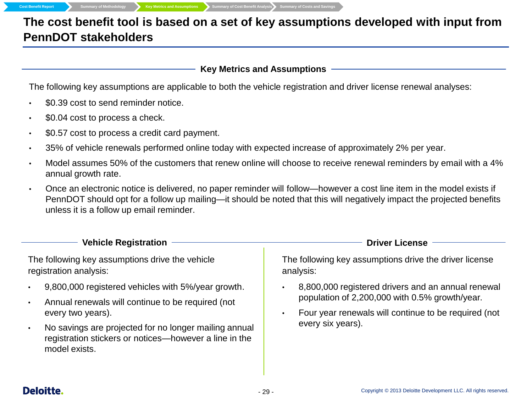**The cost benefit tool is based on a set of key assumptions developed with input from PennDOT stakeholders**

#### **Key Metrics and Assumptions**

The following key assumptions are applicable to both the vehicle registration and driver license renewal analyses:

- \$0.39 cost to send reminder notice.
- \$0.04 cost to process a check.
- \$0.57 cost to process a credit card payment.
- 35% of vehicle renewals performed online today with expected increase of approximately 2% per year.
- Model assumes 50% of the customers that renew online will choose to receive renewal reminders by email with a 4% annual growth rate.
- Once an electronic notice is delivered, no paper reminder will follow—however a cost line item in the model exists if PennDOT should opt for a follow up mailing—it should be noted that this will negatively impact the projected benefits unless it is a follow up email reminder.

| <b>Vehicle Registration</b>                                                                                                                                                                                                                                                                             | <b>Driver License</b>                                                                                                                                                             |  |  |
|---------------------------------------------------------------------------------------------------------------------------------------------------------------------------------------------------------------------------------------------------------------------------------------------------------|-----------------------------------------------------------------------------------------------------------------------------------------------------------------------------------|--|--|
| The following key assumptions drive the vehicle<br>registration analysis:                                                                                                                                                                                                                               | The following key assumptions drive the driver license<br>analysis:                                                                                                               |  |  |
| 9,800,000 registered vehicles with 5%/year growth.<br>$\bullet$<br>Annual renewals will continue to be required (not<br>$\bullet$<br>every two years).<br>No savings are projected for no longer mailing annual<br>$\bullet$<br>registration stickers or notices—however a line in the<br>model exists. | 8,800,000 registered drivers and an annual renewal<br>population of 2,200,000 with 0.5% growth/year.<br>Four year renewals will continue to be required (not<br>every six years). |  |  |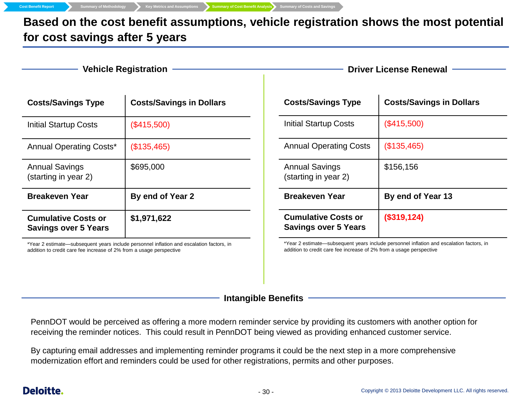**Cost Benefit Report Summary of Methodology Key Metrics and Assumptions Summary of Cost Benefit Analysis** Summary of Costs and Savings

**Based on the cost benefit assumptions, vehicle registration shows the most potential for cost savings after 5 years**

**Refluite Registration ——————————————————————Driver License Renewal** 

| <b>Costs/Savings Type</b>                                                                | <b>Costs/Savings in Dollars</b> |  |  |
|------------------------------------------------------------------------------------------|---------------------------------|--|--|
| Initial Startup Costs                                                                    | (\$415,500)                     |  |  |
| <b>Annual Operating Costs*</b>                                                           | (\$135,465)                     |  |  |
| <b>Annual Savings</b><br>(starting in year 2)                                            | \$695,000                       |  |  |
| <b>Breakeven Year</b>                                                                    | By end of Year 2                |  |  |
| <b>Cumulative Costs or</b><br><b>Savings over 5 Years</b>                                | \$1,971,622                     |  |  |
| *Year 2 estimate—subsequent years include personnel inflation and escalation factors, in |                                 |  |  |

addition to credit care fee increase of 2% from a usage perspective

| <b>Costs/Savings Type</b>                                 | <b>Costs/Savings in Dollars</b> |
|-----------------------------------------------------------|---------------------------------|
| Initial Startup Costs                                     | (\$415,500)                     |
| <b>Annual Operating Costs</b>                             | (\$135,465)                     |
| <b>Annual Savings</b><br>(starting in year 2)             | \$156,156                       |
| <b>Breakeven Year</b>                                     | By end of Year 13               |
| <b>Cumulative Costs or</b><br><b>Savings over 5 Years</b> | (\$319,124)                     |

\*Year 2 estimate—subsequent years include personnel inflation and escalation factors, in addition to credit care fee increase of 2% from a usage perspective

**Intangible Benefits**

PennDOT would be perceived as offering a more modern reminder service by providing its customers with another option for receiving the reminder notices. This could result in PennDOT being viewed as providing enhanced customer service.

By capturing email addresses and implementing reminder programs it could be the next step in a more comprehensive modernization effort and reminders could be used for other registrations, permits and other purposes.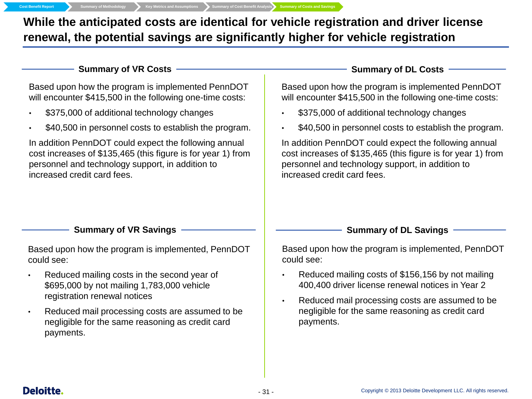**Cost Benefit Report Summary of Methodology Key Metrics and Assumptions Summary of Cost Benefit Analysis Summary of Costs and Savings**

**While the anticipated costs are identical for vehicle registration and driver license renewal, the potential savings are significantly higher for vehicle registration** 

Summary of VR Costs **Summary of DL Costs Summary of DL Costs** 

Based upon how the program is implemented PennDOT will encounter \$415,500 in the following one-time costs:

- \$375,000 of additional technology changes
- \$40,500 in personnel costs to establish the program.

In addition PennDOT could expect the following annual cost increases of \$135,465 (this figure is for year 1) from personnel and technology support, in addition to increased credit card fees.

Based upon how the program is implemented PennDOT will encounter \$415,500 in the following one-time costs:

- \$375,000 of additional technology changes
- \$40,500 in personnel costs to establish the program.

In addition PennDOT could expect the following annual cost increases of \$135,465 (this figure is for year 1) from personnel and technology support, in addition to increased credit card fees.

#### **Summary of VR Savings**

Based upon how the program is implemented, PennDOT could see:

- Reduced mailing costs in the second year of \$695,000 by not mailing 1,783,000 vehicle registration renewal notices
- Reduced mail processing costs are assumed to be negligible for the same reasoning as credit card payments.

Based upon how the program is implemented, PennDOT could see:

**Summary of DL Savings**

- Reduced mailing costs of \$156,156 by not mailing 400,400 driver license renewal notices in Year 2
- Reduced mail processing costs are assumed to be negligible for the same reasoning as credit card payments.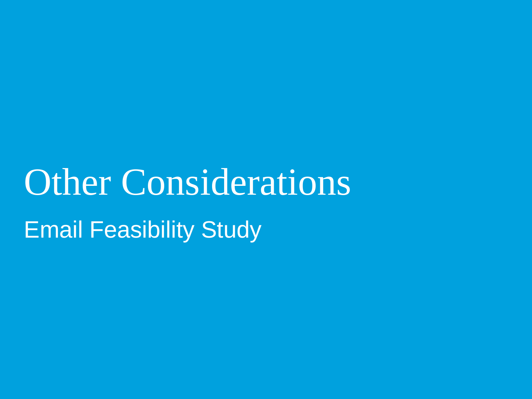# Other Considerations Email Feasibility Study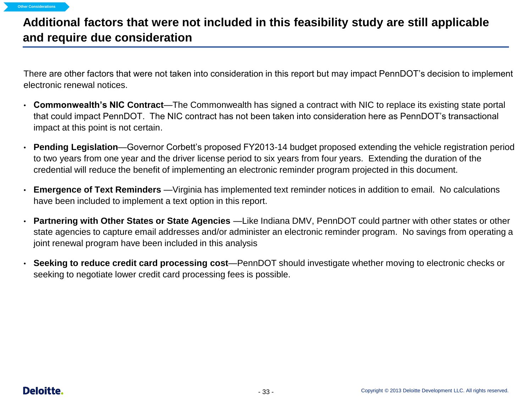## **Additional factors that were not included in this feasibility study are still applicable and require due consideration**

There are other factors that were not taken into consideration in this report but may impact PennDOT's decision to implement electronic renewal notices.

- **Commonwealth's NIC Contract**—The Commonwealth has signed a contract with NIC to replace its existing state portal that could impact PennDOT. The NIC contract has not been taken into consideration here as PennDOT's transactional impact at this point is not certain.
- **Pending Legislation**—Governor Corbett's proposed FY2013-14 budget proposed extending the vehicle registration period to two years from one year and the driver license period to six years from four years. Extending the duration of the credential will reduce the benefit of implementing an electronic reminder program projected in this document.
- **Emergence of Text Reminders** —Virginia has implemented text reminder notices in addition to email. No calculations have been included to implement a text option in this report.
- **Partnering with Other States or State Agencies** —Like Indiana DMV, PennDOT could partner with other states or other state agencies to capture email addresses and/or administer an electronic reminder program. No savings from operating a joint renewal program have been included in this analysis
- **Seeking to reduce credit card processing cost**—PennDOT should investigate whether moving to electronic checks or seeking to negotiate lower credit card processing fees is possible.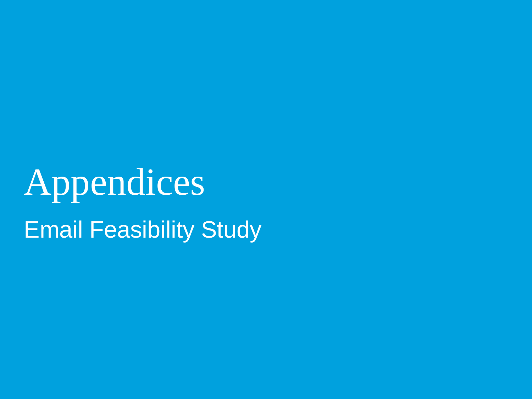Appendices Email Feasibility Study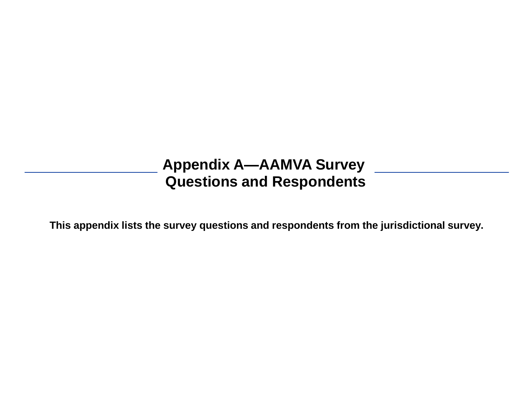## **Appendix A—AAMVA Survey Questions and Respondents**

**This appendix lists the survey questions and respondents from the jurisdictional survey.**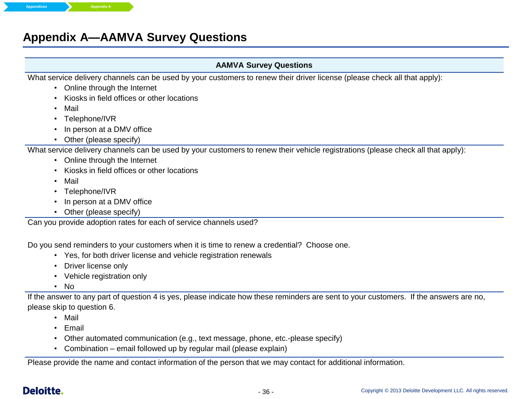## **Appendix A—AAMVA Survey Questions**

#### **AAMVA Survey Questions**

What service delivery channels can be used by your customers to renew their driver license (please check all that apply):

- Online through the Internet
- Kiosks in field offices or other locations
- Mail
- Telephone/IVR
- In person at a DMV office
- Other (please specify)

What service delivery channels can be used by your customers to renew their vehicle registrations (please check all that apply):

- Online through the Internet
- Kiosks in field offices or other locations
- Mail
- Telephone/IVR
- In person at a DMV office
- Other (please specify)

Can you provide adoption rates for each of service channels used?

Do you send reminders to your customers when it is time to renew a credential? Choose one.

- Yes, for both driver license and vehicle registration renewals
- Driver license only
- Vehicle registration only
- No

If the answer to any part of question 4 is yes, please indicate how these reminders are sent to your customers. If the answers are no, please skip to question 6.

- Mail
- Email
- Other automated communication (e.g., text message, phone, etc.-please specify)
- Combination email followed up by regular mail (please explain)

Please provide the name and contact information of the person that we may contact for additional information.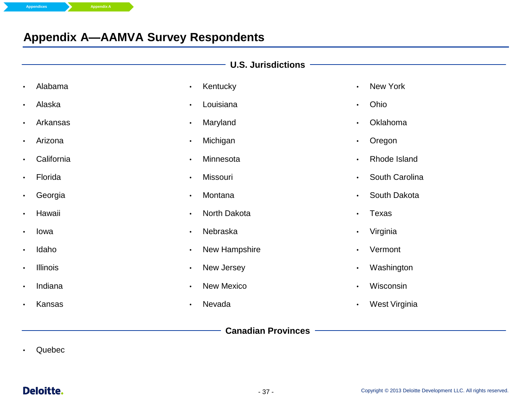## **Appendix A—AAMVA Survey Respondents**

|           | U.S. Jurisdictions <b>Constanting Constanting Constanting Constanting Constanting Constanting Constanting Constanting Constanting Constanting Constanting Constanting Constanting Constanting Constanting Constanting Constantin</b> |           |               |           |                |
|-----------|--------------------------------------------------------------------------------------------------------------------------------------------------------------------------------------------------------------------------------------|-----------|---------------|-----------|----------------|
| $\bullet$ | Alabama                                                                                                                                                                                                                              | $\bullet$ | Kentucky      | $\bullet$ | New York       |
| $\bullet$ | Alaska                                                                                                                                                                                                                               | $\bullet$ | Louisiana     | $\bullet$ | Ohio           |
|           | Arkansas                                                                                                                                                                                                                             | $\bullet$ | Maryland      | $\bullet$ | Oklahoma       |
|           | Arizona                                                                                                                                                                                                                              | $\bullet$ | Michigan      | $\bullet$ | Oregon         |
|           | California                                                                                                                                                                                                                           | $\bullet$ | Minnesota     | $\bullet$ | Rhode Island   |
|           | Florida                                                                                                                                                                                                                              | $\bullet$ | Missouri      | $\bullet$ | South Carolina |
|           | Georgia                                                                                                                                                                                                                              | $\bullet$ | Montana       | $\bullet$ | South Dakota   |
|           | Hawaii                                                                                                                                                                                                                               | $\bullet$ | North Dakota  | $\bullet$ | Texas          |
|           | Iowa                                                                                                                                                                                                                                 | $\bullet$ | Nebraska      | $\bullet$ | Virginia       |
| $\bullet$ | Idaho                                                                                                                                                                                                                                | $\bullet$ | New Hampshire | $\bullet$ | Vermont        |
| $\bullet$ | Illinois                                                                                                                                                                                                                             | $\bullet$ | New Jersey    | $\bullet$ | Washington     |
| $\bullet$ | Indiana                                                                                                                                                                                                                              | $\bullet$ | New Mexico    | $\bullet$ | Wisconsin      |
|           | Kansas                                                                                                                                                                                                                               | $\bullet$ | Nevada        | $\bullet$ | West Virginia  |
|           |                                                                                                                                                                                                                                      |           |               |           |                |

**Canadian Provinces**

• Quebec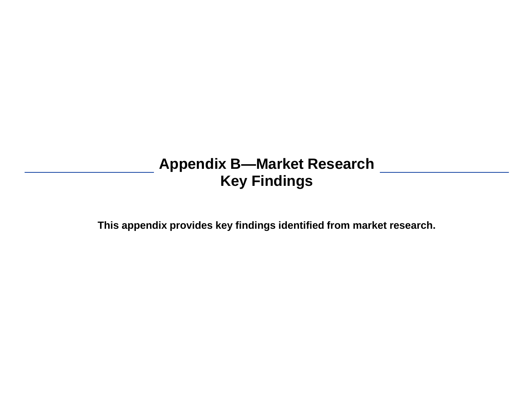## **Appendix B—Market Research Key Findings**

**This appendix provides key findings identified from market research.**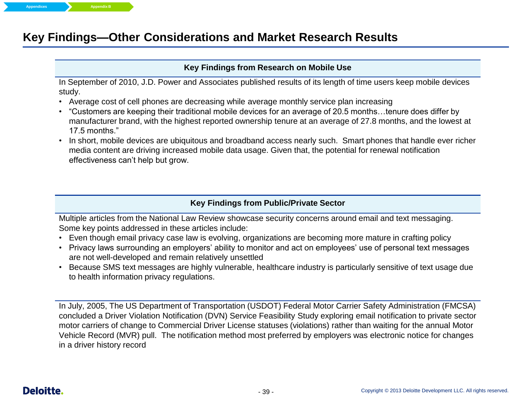## **Key Findings—Other Considerations and Market Research Results**

#### **Key Findings from Research on Mobile Use**

In September of 2010, J.D. Power and Associates published results of its length of time users keep mobile devices study.

- Average cost of cell phones are decreasing while average monthly service plan increasing
- "Customers are keeping their traditional mobile devices for an average of 20.5 months…tenure does differ by manufacturer brand, with the highest reported ownership tenure at an average of 27.8 months, and the lowest at 17.5 months."
- In short, mobile devices are ubiquitous and broadband access nearly such. Smart phones that handle ever richer media content are driving increased mobile data usage. Given that, the potential for renewal notification effectiveness can't help but grow.

#### **Key Findings from Public/Private Sector**

Multiple articles from the National Law Review showcase security concerns around email and text messaging. Some key points addressed in these articles include:

- Even though email privacy case law is evolving, organizations are becoming more mature in crafting policy
- Privacy laws surrounding an employers' ability to monitor and act on employees' use of personal text messages are not well-developed and remain relatively unsettled
- Because SMS text messages are highly vulnerable, healthcare industry is particularly sensitive of text usage due to health information privacy regulations.

In July, 2005, The US Department of Transportation (USDOT) Federal Motor Carrier Safety Administration (FMCSA) concluded a Driver Violation Notification (DVN) Service Feasibility Study exploring email notification to private sector motor carriers of change to Commercial Driver License statuses (violations) rather than waiting for the annual Motor Vehicle Record (MVR) pull. The notification method most preferred by employers was electronic notice for changes in a driver history record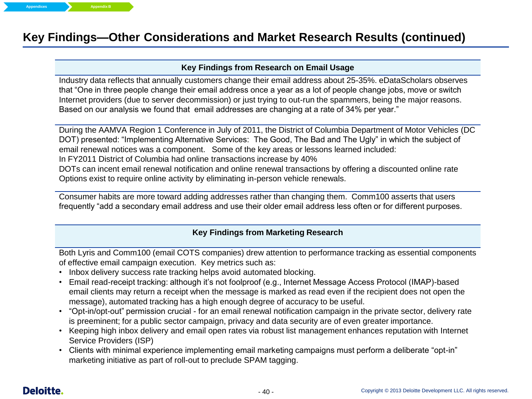## **Key Findings—Other Considerations and Market Research Results (continued)**

#### **Key Findings from Research on Email Usage**

Industry data reflects that annually customers change their email address about 25-35%. eDataScholars observes that "One in three people change their email address once a year as a lot of people change jobs, move or switch Internet providers (due to server decommission) or just trying to out-run the spammers, being the major reasons. Based on our analysis we found that email addresses are changing at a rate of 34% per year."

During the AAMVA Region 1 Conference in July of 2011, the District of Columbia Department of Motor Vehicles (DC DOT) presented: "Implementing Alternative Services: The Good, The Bad and The Ugly" in which the subject of email renewal notices was a component. Some of the key areas or lessons learned included: In FY2011 District of Columbia had online transactions increase by 40% DOTs can incent email renewal notification and online renewal transactions by offering a discounted online rate Options exist to require online activity by eliminating in-person vehicle renewals.

Consumer habits are more toward adding addresses rather than changing them. Comm100 asserts that users frequently "add a secondary email address and use their older email address less often or for different purposes.

#### **Key Findings from Marketing Research**

Both Lyris and Comm100 (email COTS companies) drew attention to performance tracking as essential components of effective email campaign execution. Key metrics such as:

- Inbox delivery success rate tracking helps avoid automated blocking.
- Email read-receipt tracking: although it's not foolproof (e.g., Internet Message Access Protocol (IMAP)-based email clients may return a receipt when the message is marked as read even if the recipient does not open the message), automated tracking has a high enough degree of accuracy to be useful.
- "Opt-in/opt-out" permission crucial for an email renewal notification campaign in the private sector, delivery rate is preeminent; for a public sector campaign, privacy and data security are of even greater importance.
- Keeping high inbox delivery and email open rates via robust list management enhances reputation with Internet Service Providers (ISP)
- Clients with minimal experience implementing email marketing campaigns must perform a deliberate "opt-in" marketing initiative as part of roll-out to preclude SPAM tagging.